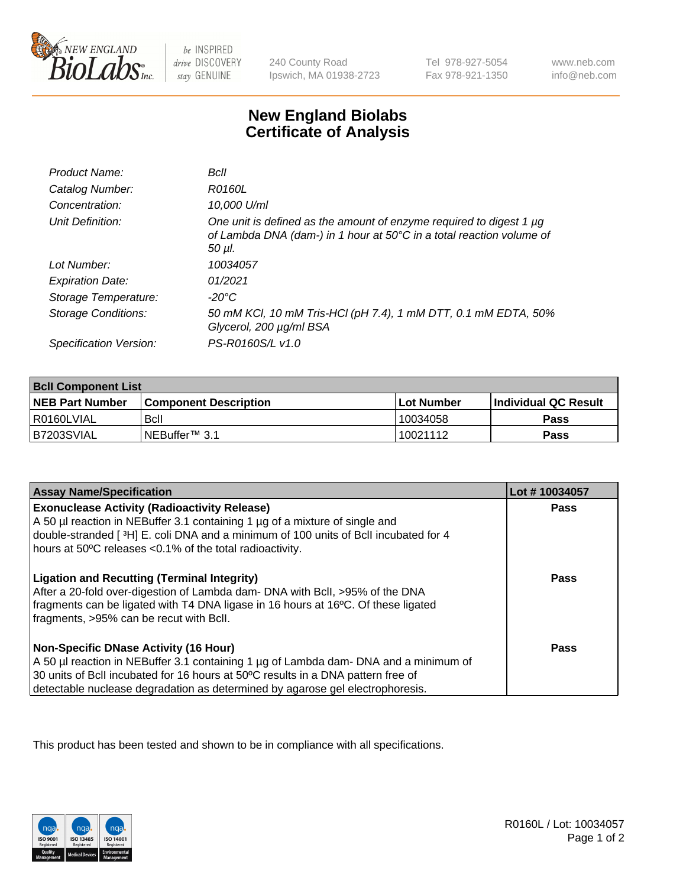

be INSPIRED drive DISCOVERY stay GENUINE

240 County Road Ipswich, MA 01938-2723

Tel 978-927-5054 Fax 978-921-1350

www.neb.com info@neb.com

## **New England Biolabs Certificate of Analysis**

| Product Name:              | Bcll                                                                                                                                                  |
|----------------------------|-------------------------------------------------------------------------------------------------------------------------------------------------------|
| Catalog Number:            | <i>R0160L</i>                                                                                                                                         |
| Concentration:             | 10,000 U/ml                                                                                                                                           |
| Unit Definition:           | One unit is defined as the amount of enzyme required to digest 1 µg<br>of Lambda DNA (dam-) in 1 hour at 50°C in a total reaction volume of<br>50 µI. |
| Lot Number:                | 10034057                                                                                                                                              |
| <b>Expiration Date:</b>    | 01/2021                                                                                                                                               |
| Storage Temperature:       | -20°C                                                                                                                                                 |
| <b>Storage Conditions:</b> | 50 mM KCl, 10 mM Tris-HCl (pH 7.4), 1 mM DTT, 0.1 mM EDTA, 50%<br>Glycerol, 200 µg/ml BSA                                                             |
| Specification Version:     | PS-R0160S/L v1.0                                                                                                                                      |

| <b>Bcll Component List</b> |                              |              |                             |  |
|----------------------------|------------------------------|--------------|-----------------------------|--|
| <b>NEB Part Number</b>     | <b>Component Description</b> | l Lot Number | <b>Individual QC Result</b> |  |
| I R0160LVIAL               | Bcll                         | 10034058     | Pass                        |  |
| IB7203SVIAL                | INEBuffer™ 3.1               | 10021112     | <b>Pass</b>                 |  |

| <b>Assay Name/Specification</b>                                                                                                                                                                                                                                                                    | Lot #10034057 |
|----------------------------------------------------------------------------------------------------------------------------------------------------------------------------------------------------------------------------------------------------------------------------------------------------|---------------|
| <b>Exonuclease Activity (Radioactivity Release)</b><br>A 50 µl reaction in NEBuffer 3.1 containing 1 µg of a mixture of single and<br>double-stranded [3H] E. coli DNA and a minimum of 100 units of Bcll incubated for 4<br>hours at 50°C releases <0.1% of the total radioactivity.              | <b>Pass</b>   |
| <b>Ligation and Recutting (Terminal Integrity)</b><br>After a 20-fold over-digestion of Lambda dam- DNA with BcII, >95% of the DNA<br>fragments can be ligated with T4 DNA ligase in 16 hours at 16°C. Of these ligated<br>fragments, >95% can be recut with Bcll.                                 | <b>Pass</b>   |
| Non-Specific DNase Activity (16 Hour)<br>A 50 µl reaction in NEBuffer 3.1 containing 1 µg of Lambda dam- DNA and a minimum of<br>30 units of BcII incubated for 16 hours at 50°C results in a DNA pattern free of<br>detectable nuclease degradation as determined by agarose gel electrophoresis. | <b>Pass</b>   |

This product has been tested and shown to be in compliance with all specifications.